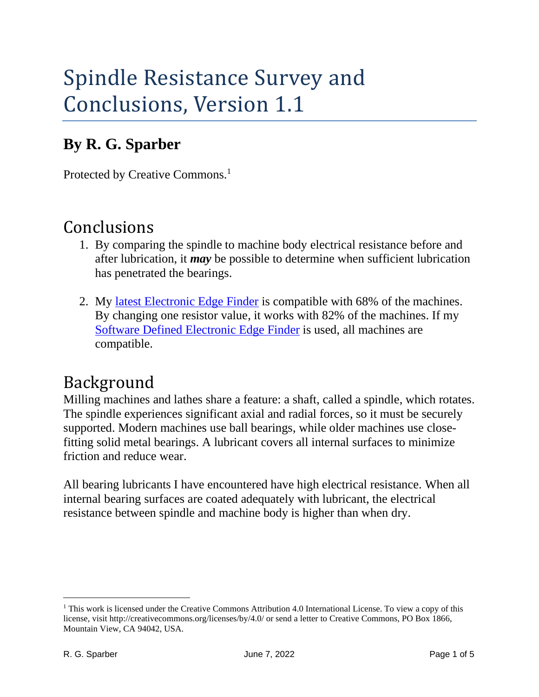# Spindle Resistance Survey and Conclusions, Version 1.1

### **By R. G. Sparber**

Protected by Creative Commons.<sup>1</sup>

## Conclusions

- 1. By comparing the spindle to machine body electrical resistance before and after lubrication, it *may* be possible to determine when sufficient lubrication has penetrated the bearings.
- 2. My [latest Electronic Edge Finder](https://rick.sparber.org/SimpEEF.pdf) is compatible with 68% of the machines. By changing one resistor value, it works with 82% of the machines. If my [Software Defined Electronic Edge Finder](https://rick.sparber.org/SDEF.pdf) is used, all machines are compatible.

# Background

Milling machines and lathes share a feature: a shaft, called a spindle, which rotates. The spindle experiences significant axial and radial forces, so it must be securely supported. Modern machines use ball bearings, while older machines use closefitting solid metal bearings. A lubricant covers all internal surfaces to minimize friction and reduce wear.

All bearing lubricants I have encountered have high electrical resistance. When all internal bearing surfaces are coated adequately with lubricant, the electrical resistance between spindle and machine body is higher than when dry.

<sup>&</sup>lt;sup>1</sup> This work is licensed under the Creative Commons Attribution 4.0 International License. To view a copy of this license, visit http://creativecommons.org/licenses/by/4.0/ or send a letter to Creative Commons, PO Box 1866, Mountain View, CA 94042, USA.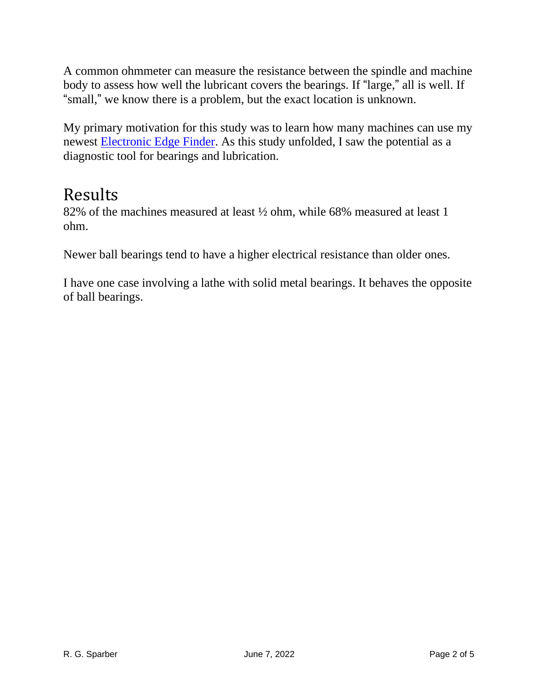A common ohmmeter can measure the resistance between the spindle and machine body to assess how well the lubricant covers the bearings. If "large," all is well. If "small," we know there is a problem, but the exact location is unknown.

My primary motivation for this study was to learn how many machines can use my newest [Electronic Edge Finder.](https://rick.sparber.org/SimpEEF.pdf) As this study unfolded, I saw the potential as a diagnostic tool for bearings and lubrication.

### Results

82% of the machines measured at least ½ ohm, while 68% measured at least 1 ohm.

Newer ball bearings tend to have a higher electrical resistance than older ones.

I have one case involving a lathe with solid metal bearings. It behaves the opposite of ball bearings.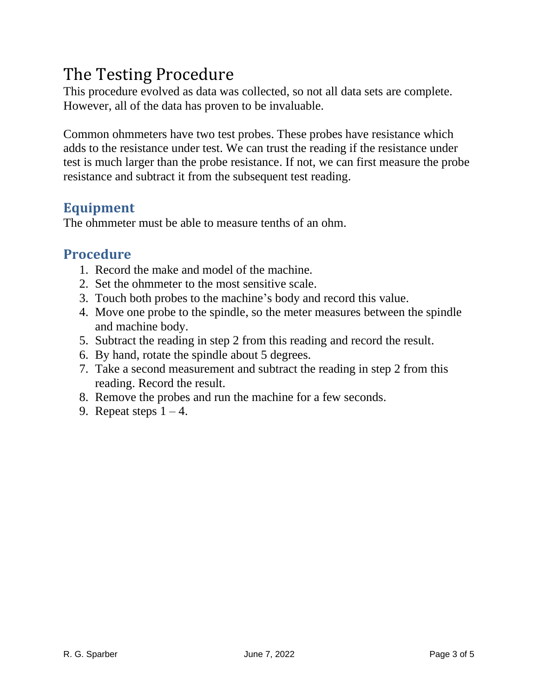## The Testing Procedure

This procedure evolved as data was collected, so not all data sets are complete. However, all of the data has proven to be invaluable.

Common ohmmeters have two test probes. These probes have resistance which adds to the resistance under test. We can trust the reading if the resistance under test is much larger than the probe resistance. If not, we can first measure the probe resistance and subtract it from the subsequent test reading.

#### **Equipment**

The ohmmeter must be able to measure tenths of an ohm.

#### **Procedure**

- 1. Record the make and model of the machine.
- 2. Set the ohmmeter to the most sensitive scale.
- 3. Touch both probes to the machine's body and record this value.
- 4. Move one probe to the spindle, so the meter measures between the spindle and machine body.
- 5. Subtract the reading in step 2 from this reading and record the result.
- 6. By hand, rotate the spindle about 5 degrees.
- 7. Take a second measurement and subtract the reading in step 2 from this reading. Record the result.
- 8. Remove the probes and run the machine for a few seconds.
- 9. Repeat steps  $1 4$ .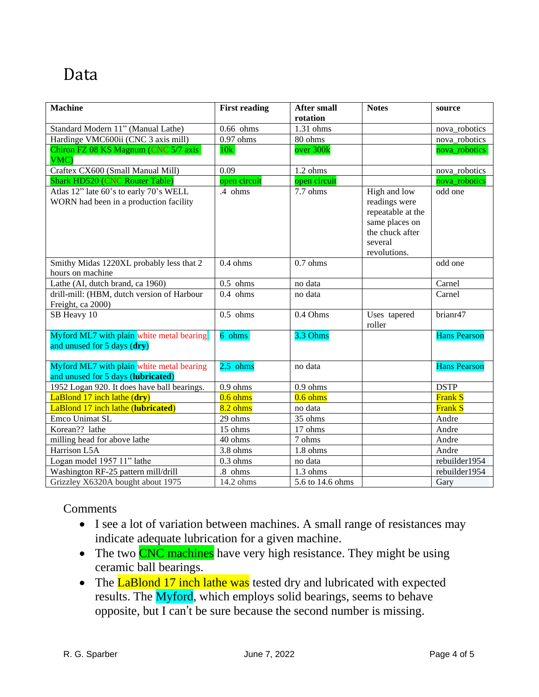### Data

| <b>Machine</b>                                                                   | <b>First reading</b> | <b>After small</b>    | <b>Notes</b>                                                                                                       | source              |
|----------------------------------------------------------------------------------|----------------------|-----------------------|--------------------------------------------------------------------------------------------------------------------|---------------------|
| Standard Modern 11" (Manual Lathe)                                               | $0.66$ ohms          | rotation<br>1.31 ohms |                                                                                                                    | nova robotics       |
| Hardinge VMC600ii (CNC 3 axis mill)                                              | $0.97$ ohms          | 80 ohms               |                                                                                                                    | nova_robotics       |
| Chiron FZ 08 KS Magnum (CNC 5/7 axis                                             | 10k                  | over 300k             |                                                                                                                    |                     |
| VMC)                                                                             |                      |                       |                                                                                                                    | nova_robotics       |
| Craftex CX600 (Small Manual Mill)                                                | 0.09                 | $1.2 \text{ ohms}$    |                                                                                                                    | nova_robotics       |
| <b>Shark HD520 (CNC Router Table)</b>                                            | open circuit         | open circuit          |                                                                                                                    | nova_robotics       |
| Atlas 12" late 60's to early 70's WELL<br>WORN had been in a production facility | .4 ohms              | 7.7 ohms              | High and low<br>readings were<br>repeatable at the<br>same places on<br>the chuck after<br>several<br>revolutions. | odd one             |
| Smithy Midas 1220XL probably less that 2<br>hours on machine                     | $0.4 \text{ ohms}$   | $0.7 \text{ ohms}$    |                                                                                                                    | odd one             |
| Lathe (AI, dutch brand, ca 1960)                                                 | $0.5$ ohms           | no data               |                                                                                                                    | Carnel              |
| drill-mill: (HBM, dutch version of Harbour<br>Freight, ca 2000)                  | $0.4$ ohms           | no data               |                                                                                                                    | Carnel              |
| SB Heavy 10                                                                      | $0.5$ ohms           | 0.4 Ohms              | Uses tapered<br>roller                                                                                             | brianr47            |
| Myford ML7 with plain white metal bearing<br>and unused for 5 days (dry)         | 6 ohms               | 3.3 Ohms              |                                                                                                                    | <b>Hans Pearson</b> |
| Myford ML7 with plain white metal bearing<br>and unused for 5 days (lubricated)  | $2.5 \text{ ohms}$   | no data               |                                                                                                                    | <b>Hans Pearson</b> |
| 1952 Logan 920. It does have ball bearings.                                      | $0.9$ ohms           | $0.9$ ohms            |                                                                                                                    | <b>DSTP</b>         |
| LaBlond 17 inch lathe (dry)                                                      | $0.6 \text{ ohms}$   | $0.6$ ohms            |                                                                                                                    | <b>Frank S</b>      |
| LaBlond 17 inch lathe (lubricated)                                               | $8.2 \text{ ohms}$   | no data               |                                                                                                                    | <b>Frank S</b>      |
| Emco Unimat SL                                                                   | 29 ohms              | 35 ohms               |                                                                                                                    | Andre               |
| Korean?? lathe                                                                   | 15 ohms              | 17 ohms               |                                                                                                                    | Andre               |
| milling head for above lathe                                                     | 40 ohms              | 7 ohms                |                                                                                                                    | Andre               |
| Harrison L5A                                                                     | 3.8 ohms             | $1.8 \text{ ohms}$    |                                                                                                                    | Andre               |
| Logan model 1957 11" lathe                                                       | $0.3$ ohms           | no data               |                                                                                                                    | rebuilder1954       |
| Washington RF-25 pattern mill/drill                                              | .8 ohms              | 1.3 ohms              |                                                                                                                    | rebuilder1954       |
| Grizzley X6320A bought about 1975                                                | 14.2 ohms            | 5.6 to 14.6 ohms      |                                                                                                                    | Gary                |

#### Comments

- I see a lot of variation between machines. A small range of resistances may indicate adequate lubrication for a given machine.
- The two CNC machines have very high resistance. They might be using ceramic ball bearings.
- The LaBlond 17 inch lathe was tested dry and lubricated with expected results. The Myford, which employs solid bearings, seems to behave opposite, but I can't be sure because the second number is missing.